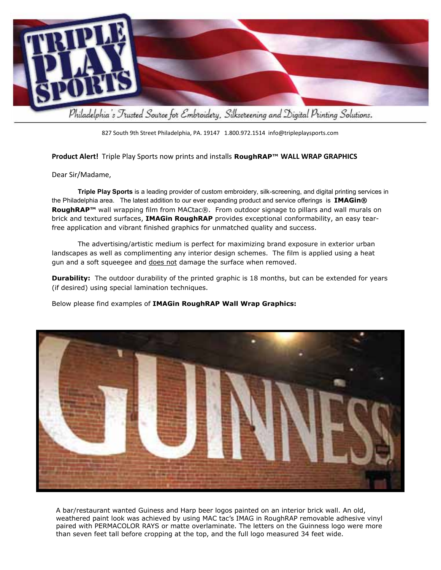

827 South 9th Street Philadelphia, PA. 19147 1.800.972.1514 info@tripleplaysports.com

## **Product Alert!** Triple Play Sports now prints and installs **RoughRAP™ WALL WRAP GRAPHICS**

## Dear Sir/Madame,

 **Triple Play Sports** is a leading provider of custom embroidery, silk-screening, and digital printing services in the Philadelphia area. The latest addition to our ever expanding product and service offerings is **IMAGin® RoughRAP<sup>™</sup> wall wrapping film from MACtac®. From outdoor signage to pillars and wall murals on** brick and textured surfaces, **IMAGin RoughRAP** provides exceptional conformability, an easy tearfree application and vibrant finished graphics for unmatched quality and success.

The advertising/artistic medium is perfect for maximizing brand exposure in exterior urban landscapes as well as complimenting any interior design schemes. The film is applied using a heat gun and a soft squeegee and does not damage the surface when removed.

**Durability:** The outdoor durability of the printed graphic is 18 months, but can be extended for years (if desired) using special lamination techniques.

Below please find examples of **IMAGin RoughRAP Wall Wrap Graphics:**



A bar/restaurant wanted Guiness and Harp beer logos painted on an interior brick wall. An old, weathered paint look was achieved by using MAC tac's IMAG in RoughRAP removable adhesive vinyl paired with PERMACOLOR RAYS or matte overlaminate. The letters on the Guinness logo were more than seven feet tall before cropping at the top, and the full logo measured 34 feet wide.